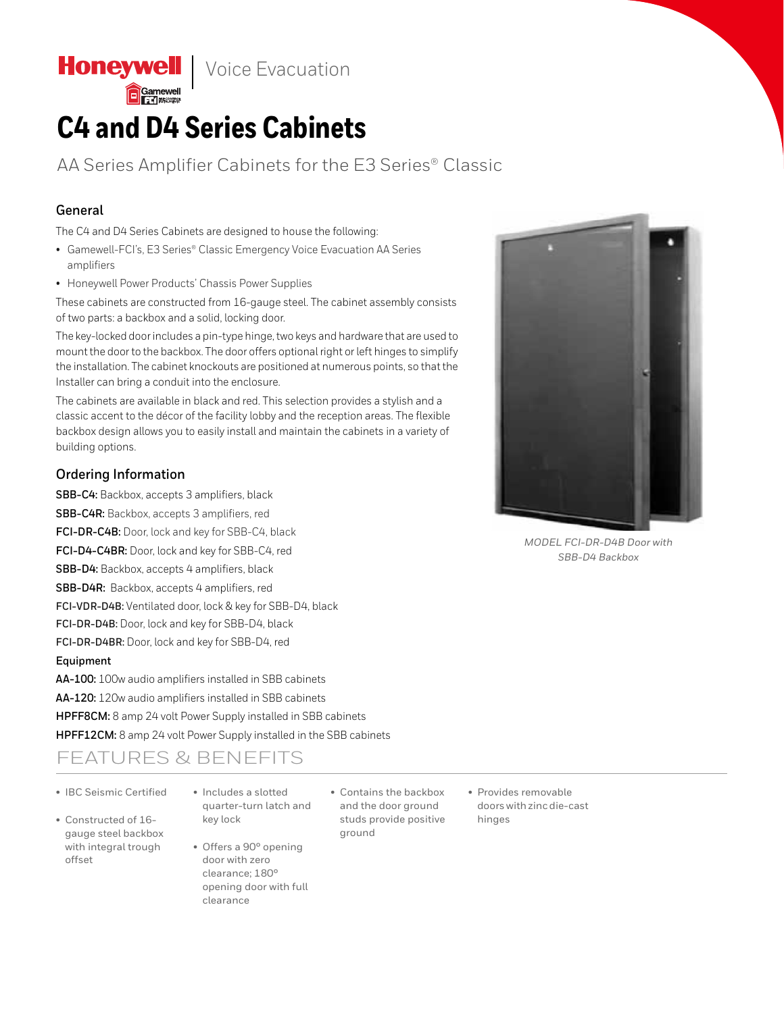**Honeywell** | Voice Evacuation

# **C4 and D4 Series Cabinets**

AA Series Amplifier Cabinets for the E3 Series® Classic

### **General**

The C4 and D4 Series Cabinets are designed to house the following:

- Gamewell-FCI's, E3 Series® Classic Emergency Voice Evacuation AA Series amplifiers
- Honeywell Power Products' Chassis Power Supplies

These cabinets are constructed from 16-gauge steel. The cabinet assembly consists of two parts: a backbox and a solid, locking door.

The key-locked door includes a pin-type hinge, two keys and hardware that are used to mount the door to the backbox. The door offers optional right or left hinges to simplify the installation. The cabinet knockouts are positioned at numerous points, so that the Installer can bring a conduit into the enclosure.

The cabinets are available in black and red. This selection provides a stylish and a classic accent to the décor of the facility lobby and the reception areas. The flexible backbox design allows you to easily install and maintain the cabinets in a variety of building options.

#### **Ordering Information**

**SBB-C4:** Backbox, accepts 3 amplifiers, black

**SBB-C4R:** Backbox, accepts 3 amplifiers, red **FCI-DR-C4B:** Door, lock and key for SBB-C4, black

**FCI-D4-C4BR:** Door, lock and key for SBB-C4, red

**SBB-D4:** Backbox, accepts 4 amplifiers, black

**SBB-D4R:** Backbox, accepts 4 amplifiers, red

**FCI-VDR-D4B:** Ventilated door, lock & key for SBB-D4, black

**FCI-DR-D4B:** Door, lock and key for SBB-D4, black

**FCI-DR-D4BR:** Door, lock and key for SBB-D4, red

#### **Equipment**

**AA-100:** 100w audio amplifiers installed in SBB cabinets **AA-120:** 120w audio amplifiers installed in SBB cabinets **HPFF8CM:** 8 amp 24 volt Power Supply installed in SBB cabinets **HPFF12CM:** 8 amp 24 volt Power Supply installed in the SBB cabinets

## FEATURES & BENEFITS

- IBC Seismic Certified
- Constructed of 16 gauge steel backbox with integral trough offset
- Includes a slotted quarter-turn latch and key lock
- Offers a 90° opening door with zero clearance; 180° opening door with full clearance
- Contains the backbox and the door ground studs provide positive ground
- Provides removable doors with zinc die-cast hinges



*MODEL FCI-DR-D4B Door with SBB-D4 Backbox*